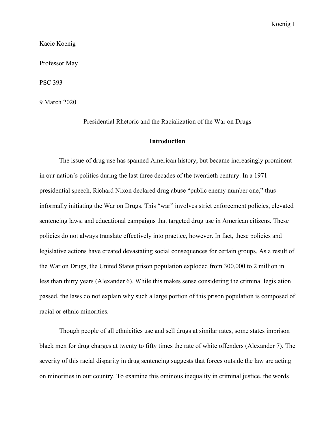Kacie Koenig

Professor May

PSC 393

9 March 2020

Presidential Rhetoric and the Racialization of the War on Drugs

### **Introduction**

The issue of drug use has spanned American history, but became increasingly prominent in our nation's politics during the last three decades of the twentieth century. In a 1971 presidential speech, Richard Nixon declared drug abuse "public enemy number one," thus informally initiating the War on Drugs. This "war" involves strict enforcement policies, elevated sentencing laws, and educational campaigns that targeted drug use in American citizens. These policies do not always translate effectively into practice, however. In fact, these policies and legislative actions have created devastating social consequences for certain groups. As a result of the War on Drugs, the United States prison population exploded from 300,000 to 2 million in less than thirty years (Alexander 6). While this makes sense considering the criminal legislation passed, the laws do not explain why such a large portion of this prison population is composed of racial or ethnic minorities.

Though people of all ethnicities use and sell drugs at similar rates, some states imprison black men for drug charges at twenty to fifty times the rate of white offenders (Alexander 7). The severity of this racial disparity in drug sentencing suggests that forces outside the law are acting on minorities in our country. To examine this ominous inequality in criminal justice, the words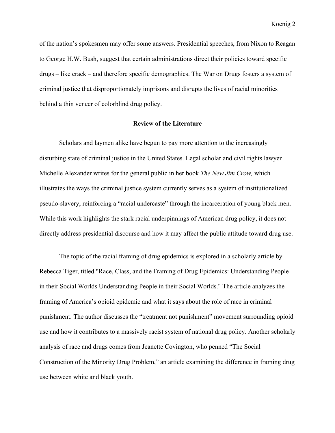of the nation's spokesmen may offer some answers. Presidential speeches, from Nixon to Reagan to George H.W. Bush, suggest that certain administrations direct their policies toward specific drugs – like crack – and therefore specific demographics. The War on Drugs fosters a system of criminal justice that disproportionately imprisons and disrupts the lives of racial minorities behind a thin veneer of colorblind drug policy.

# **Review of the Literature**

Scholars and laymen alike have begun to pay more attention to the increasingly disturbing state of criminal justice in the United States. Legal scholar and civil rights lawyer Michelle Alexander writes for the general public in her book *The New Jim Crow,* which illustrates the ways the criminal justice system currently serves as a system of institutionalized pseudo-slavery, reinforcing a "racial undercaste" through the incarceration of young black men. While this work highlights the stark racial underpinnings of American drug policy, it does not directly address presidential discourse and how it may affect the public attitude toward drug use.

The topic of the racial framing of drug epidemics is explored in a scholarly article by Rebecca Tiger, titled "Race, Class, and the Framing of Drug Epidemics: Understanding People in their Social Worlds Understanding People in their Social Worlds." The article analyzes the framing of America's opioid epidemic and what it says about the role of race in criminal punishment. The author discusses the "treatment not punishment" movement surrounding opioid use and how it contributes to a massively racist system of national drug policy. Another scholarly analysis of race and drugs comes from Jeanette Covington, who penned "The Social Construction of the Minority Drug Problem," an article examining the difference in framing drug use between white and black youth.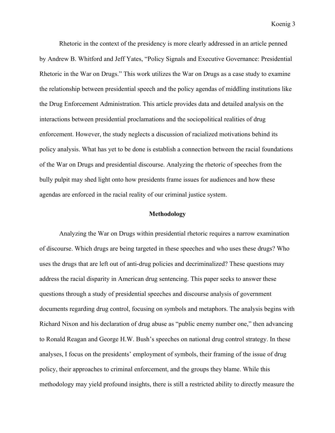Rhetoric in the context of the presidency is more clearly addressed in an article penned by Andrew B. Whitford and Jeff Yates, "Policy Signals and Executive Governance: Presidential Rhetoric in the War on Drugs." This work utilizes the War on Drugs as a case study to examine the relationship between presidential speech and the policy agendas of middling institutions like the Drug Enforcement Administration. This article provides data and detailed analysis on the interactions between presidential proclamations and the sociopolitical realities of drug enforcement. However, the study neglects a discussion of racialized motivations behind its policy analysis. What has yet to be done is establish a connection between the racial foundations of the War on Drugs and presidential discourse. Analyzing the rhetoric of speeches from the bully pulpit may shed light onto how presidents frame issues for audiences and how these agendas are enforced in the racial reality of our criminal justice system.

# **Methodology**

Analyzing the War on Drugs within presidential rhetoric requires a narrow examination of discourse. Which drugs are being targeted in these speeches and who uses these drugs? Who uses the drugs that are left out of anti-drug policies and decriminalized? These questions may address the racial disparity in American drug sentencing. This paper seeks to answer these questions through a study of presidential speeches and discourse analysis of government documents regarding drug control, focusing on symbols and metaphors. The analysis begins with Richard Nixon and his declaration of drug abuse as "public enemy number one," then advancing to Ronald Reagan and George H.W. Bush's speeches on national drug control strategy. In these analyses, I focus on the presidents' employment of symbols, their framing of the issue of drug policy, their approaches to criminal enforcement, and the groups they blame. While this methodology may yield profound insights, there is still a restricted ability to directly measure the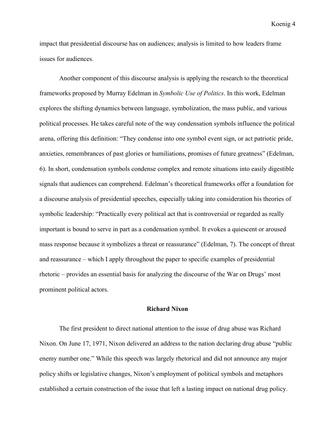impact that presidential discourse has on audiences; analysis is limited to how leaders frame issues for audiences.

Another component of this discourse analysis is applying the research to the theoretical frameworks proposed by Murray Edelman in *Symbolic Use of Politics*. In this work, Edelman explores the shifting dynamics between language, symbolization, the mass public, and various political processes. He takes careful note of the way condensation symbols influence the political arena, offering this definition: "They condense into one symbol event sign, or act patriotic pride, anxieties, remembrances of past glories or humiliations, promises of future greatness" (Edelman, 6). In short, condensation symbols condense complex and remote situations into easily digestible signals that audiences can comprehend. Edelman's theoretical frameworks offer a foundation for a discourse analysis of presidential speeches, especially taking into consideration his theories of symbolic leadership: "Practically every political act that is controversial or regarded as really important is bound to serve in part as a condensation symbol. It evokes a quiescent or aroused mass response because it symbolizes a threat or reassurance" (Edelman, 7). The concept of threat and reassurance – which I apply throughout the paper to specific examples of presidential rhetoric – provides an essential basis for analyzing the discourse of the War on Drugs' most prominent political actors.

## **Richard Nixon**

The first president to direct national attention to the issue of drug abuse was Richard Nixon. On June 17, 1971, Nixon delivered an address to the nation declaring drug abuse "public enemy number one." While this speech was largely rhetorical and did not announce any major policy shifts or legislative changes, Nixon's employment of political symbols and metaphors established a certain construction of the issue that left a lasting impact on national drug policy.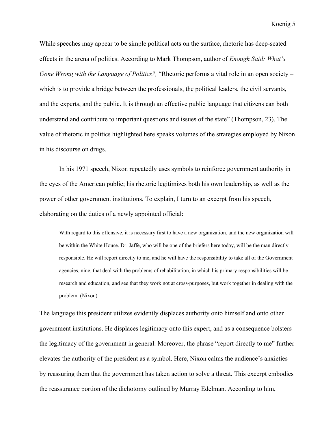While speeches may appear to be simple political acts on the surface, rhetoric has deep-seated effects in the arena of politics. According to Mark Thompson, author of *Enough Said: What's Gone Wrong with the Language of Politics?,* "Rhetoric performs a vital role in an open society – which is to provide a bridge between the professionals, the political leaders, the civil servants, and the experts, and the public. It is through an effective public language that citizens can both understand and contribute to important questions and issues of the state" (Thompson, 23). The value of rhetoric in politics highlighted here speaks volumes of the strategies employed by Nixon in his discourse on drugs.

In his 1971 speech, Nixon repeatedly uses symbols to reinforce government authority in the eyes of the American public; his rhetoric legitimizes both his own leadership, as well as the power of other government institutions. To explain, I turn to an excerpt from his speech, elaborating on the duties of a newly appointed official:

With regard to this offensive, it is necessary first to have a new organization, and the new organization will be within the White House. Dr. Jaffe, who will be one of the briefers here today, will be the man directly responsible. He will report directly to me, and he will have the responsibility to take all of the Government agencies, nine, that deal with the problems of rehabilitation, in which his primary responsibilities will be research and education, and see that they work not at cross-purposes, but work together in dealing with the problem. (Nixon)

The language this president utilizes evidently displaces authority onto himself and onto other government institutions. He displaces legitimacy onto this expert, and as a consequence bolsters the legitimacy of the government in general. Moreover, the phrase "report directly to me" further elevates the authority of the president as a symbol. Here, Nixon calms the audience's anxieties by reassuring them that the government has taken action to solve a threat. This excerpt embodies the reassurance portion of the dichotomy outlined by Murray Edelman. According to him,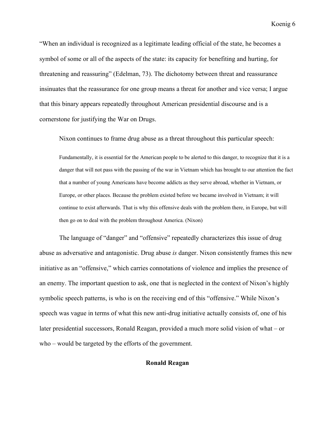"When an individual is recognized as a legitimate leading official of the state, he becomes a symbol of some or all of the aspects of the state: its capacity for benefiting and hurting, for threatening and reassuring" (Edelman, 73). The dichotomy between threat and reassurance insinuates that the reassurance for one group means a threat for another and vice versa; I argue that this binary appears repeatedly throughout American presidential discourse and is a cornerstone for justifying the War on Drugs.

Nixon continues to frame drug abuse as a threat throughout this particular speech:

Fundamentally, it is essential for the American people to be alerted to this danger, to recognize that it is a danger that will not pass with the passing of the war in Vietnam which has brought to our attention the fact that a number of young Americans have become addicts as they serve abroad, whether in Vietnam, or Europe, or other places. Because the problem existed before we became involved in Vietnam; it will continue to exist afterwards. That is why this offensive deals with the problem there, in Europe, but will then go on to deal with the problem throughout America. (Nixon)

The language of "danger" and "offensive" repeatedly characterizes this issue of drug abuse as adversative and antagonistic. Drug abuse *is* danger. Nixon consistently frames this new initiative as an "offensive," which carries connotations of violence and implies the presence of an enemy. The important question to ask, one that is neglected in the context of Nixon's highly symbolic speech patterns, is who is on the receiving end of this "offensive." While Nixon's speech was vague in terms of what this new anti-drug initiative actually consists of, one of his later presidential successors, Ronald Reagan, provided a much more solid vision of what – or who – would be targeted by the efforts of the government.

# **Ronald Reagan**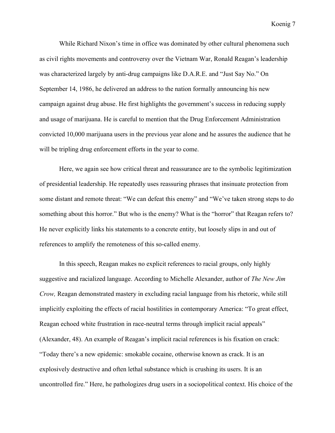While Richard Nixon's time in office was dominated by other cultural phenomena such as civil rights movements and controversy over the Vietnam War, Ronald Reagan's leadership was characterized largely by anti-drug campaigns like D.A.R.E. and "Just Say No." On September 14, 1986, he delivered an address to the nation formally announcing his new campaign against drug abuse. He first highlights the government's success in reducing supply and usage of marijuana. He is careful to mention that the Drug Enforcement Administration convicted 10,000 marijuana users in the previous year alone and he assures the audience that he will be tripling drug enforcement efforts in the year to come.

Here, we again see how critical threat and reassurance are to the symbolic legitimization of presidential leadership. He repeatedly uses reassuring phrases that insinuate protection from some distant and remote threat: "We can defeat this enemy" and "We've taken strong steps to do something about this horror." But who is the enemy? What is the "horror" that Reagan refers to? He never explicitly links his statements to a concrete entity, but loosely slips in and out of references to amplify the remoteness of this so-called enemy.

In this speech, Reagan makes no explicit references to racial groups, only highly suggestive and racialized language. According to Michelle Alexander, author of *The New Jim Crow,* Reagan demonstrated mastery in excluding racial language from his rhetoric, while still implicitly exploiting the effects of racial hostilities in contemporary America: "To great effect, Reagan echoed white frustration in race-neutral terms through implicit racial appeals" (Alexander, 48). An example of Reagan's implicit racial references is his fixation on crack: "Today there's a new epidemic: smokable cocaine, otherwise known as crack. It is an explosively destructive and often lethal substance which is crushing its users. It is an uncontrolled fire." Here, he pathologizes drug users in a sociopolitical context. His choice of the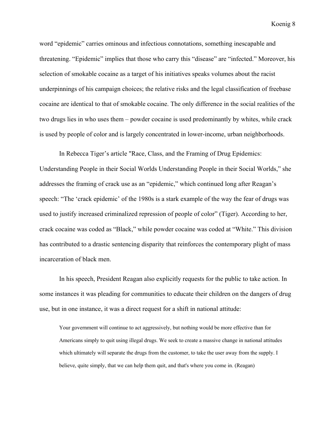word "epidemic" carries ominous and infectious connotations, something inescapable and threatening. "Epidemic" implies that those who carry this "disease" are "infected." Moreover, his selection of smokable cocaine as a target of his initiatives speaks volumes about the racist underpinnings of his campaign choices; the relative risks and the legal classification of freebase cocaine are identical to that of smokable cocaine. The only difference in the social realities of the two drugs lies in who uses them – powder cocaine is used predominantly by whites, while crack is used by people of color and is largely concentrated in lower-income, urban neighborhoods.

In Rebecca Tiger's article "Race, Class, and the Framing of Drug Epidemics: Understanding People in their Social Worlds Understanding People in their Social Worlds," she addresses the framing of crack use as an "epidemic," which continued long after Reagan's speech: "The 'crack epidemic' of the 1980s is a stark example of the way the fear of drugs was used to justify increased criminalized repression of people of color" (Tiger). According to her, crack cocaine was coded as "Black," while powder cocaine was coded at "White." This division has contributed to a drastic sentencing disparity that reinforces the contemporary plight of mass incarceration of black men.

In his speech, President Reagan also explicitly requests for the public to take action. In some instances it was pleading for communities to educate their children on the dangers of drug use, but in one instance, it was a direct request for a shift in national attitude:

Your government will continue to act aggressively, but nothing would be more effective than for Americans simply to quit using illegal drugs. We seek to create a massive change in national attitudes which ultimately will separate the drugs from the customer, to take the user away from the supply. I believe, quite simply, that we can help them quit, and that's where you come in. (Reagan)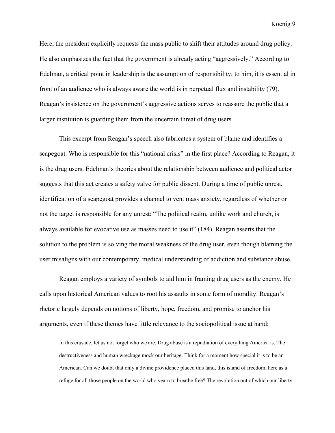Here, the president explicitly requests the mass public to shift their attitudes around drug policy. He also emphasizes the fact that the government is already acting "aggressively." According to Edelman, a critical point in leadership is the assumption of responsibility; to him, it is essential in front of an audience who is always aware the world is in perpetual flux and instability (79). Reagan's insistence on the government's aggressive actions serves to reassure the public that a larger institution is guarding them from the uncertain threat of drug users.

This excerpt from Reagan's speech also fabricates a system of blame and identifies a scapegoat. Who is responsible for this "national crisis" in the first place? According to Reagan, it is the drug users. Edelman's theories about the relationship between audience and political actor suggests that this act creates a safety valve for public dissent. During a time of public unrest, identification of a scapegoat provides a channel to vent mass anxiety, regardless of whether or not the target is responsible for any unrest: "The political realm, unlike work and church, is always available for evocative use as masses need to use it" (184). Reagan asserts that the solution to the problem is solving the moral weakness of the drug user, even though blaming the user misaligns with our contemporary, medical understanding of addiction and substance abuse.

Reagan employs a variety of symbols to aid him in framing drug users as the enemy. He calls upon historical American values to root his assaults in some form of morality. Reagan's rhetoric largely depends on notions of liberty, hope, freedom, and promise to anchor his arguments, even if these themes have little relevance to the sociopolitical issue at hand:

In this crusade, let us not forget who we are. Drug abuse is a repudiation of everything America is. The destructiveness and human wreckage mock our heritage. Think for a moment how special it is to be an American. Can we doubt that only a divine providence placed this land, this island of freedom, here as a refuge for all those people on the world who yearn to breathe free? The revolution out of which our liberty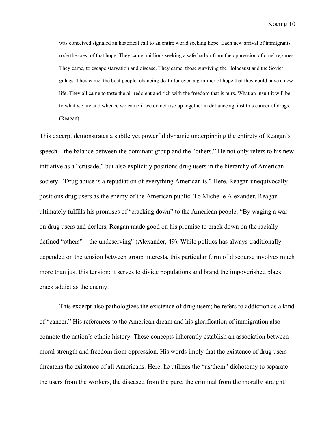was conceived signaled an historical call to an entire world seeking hope. Each new arrival of immigrants rode the crest of that hope. They came, millions seeking a safe harbor from the oppression of cruel regimes. They came, to escape starvation and disease. They came, those surviving the Holocaust and the Soviet gulags. They came, the boat people, chancing death for even a glimmer of hope that they could have a new life. They all came to taste the air redolent and rich with the freedom that is ours. What an insult it will be to what we are and whence we came if we do not rise up together in defiance against this cancer of drugs. (Reagan)

This excerpt demonstrates a subtle yet powerful dynamic underpinning the entirety of Reagan's speech – the balance between the dominant group and the "others." He not only refers to his new initiative as a "crusade," but also explicitly positions drug users in the hierarchy of American society: "Drug abuse is a repudiation of everything American is." Here, Reagan unequivocally positions drug users as the enemy of the American public. To Michelle Alexander, Reagan ultimately fulfills his promises of "cracking down" to the American people: "By waging a war on drug users and dealers, Reagan made good on his promise to crack down on the racially defined "others" – the undeserving" (Alexander, 49). While politics has always traditionally depended on the tension between group interests, this particular form of discourse involves much more than just this tension; it serves to divide populations and brand the impoverished black crack addict as the enemy.

This excerpt also pathologizes the existence of drug users; he refers to addiction as a kind of "cancer." His references to the American dream and his glorification of immigration also connote the nation's ethnic history. These concepts inherently establish an association between moral strength and freedom from oppression. His words imply that the existence of drug users threatens the existence of all Americans. Here, he utilizes the "us/them" dichotomy to separate the users from the workers, the diseased from the pure, the criminal from the morally straight.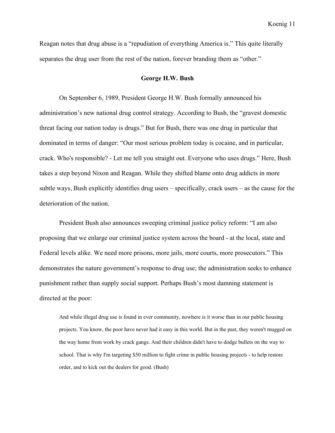Reagan notes that drug abuse is a "repudiation of everything America is." This quite literally separates the drug user from the rest of the nation, forever branding them as "other."

#### **George H.W. Bush**

On September 6, 1989, President George H.W. Bush formally announced his administration's new national drug control strategy. According to Bush, the "gravest domestic threat facing our nation today is drugs." But for Bush, there was one drug in particular that dominated in terms of danger: "Our most serious problem today is cocaine, and in particular, crack. Who's responsible? - Let me tell you straight out. Everyone who uses drugs." Here, Bush takes a step beyond Nixon and Reagan. While they shifted blame onto drug addicts in more subtle ways, Bush explicitly identifies drug users – specifically, crack users – as the cause for the deterioration of the nation.

President Bush also announces sweeping criminal justice policy reform: "I am also proposing that we enlarge our criminal justice system across the board - at the local, state and Federal levels alike. We need more prisons, more jails, more courts, more prosecutors." This demonstrates the nature government's response to drug use; the administration seeks to enhance punishment rather than supply social support. Perhaps Bush's most damning statement is directed at the poor:

And while illegal drug use is found in ever community, nowhere is it worse than in our public housing projects. You know, the poor have never had it easy in this world. But in the past, they weren't mugged on the way home from work by crack gangs. And their children didn't have to dodge bullets on the way to school. That is why I'm targeting \$50 million to fight crime in public housing projects - to help restore order, and to kick out the dealers for good. (Bush)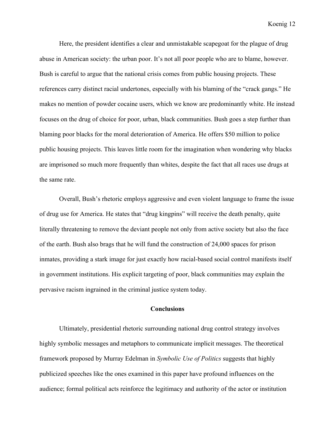Here, the president identifies a clear and unmistakable scapegoat for the plague of drug abuse in American society: the urban poor. It's not all poor people who are to blame, however. Bush is careful to argue that the national crisis comes from public housing projects. These references carry distinct racial undertones, especially with his blaming of the "crack gangs." He makes no mention of powder cocaine users, which we know are predominantly white. He instead focuses on the drug of choice for poor, urban, black communities. Bush goes a step further than blaming poor blacks for the moral deterioration of America. He offers \$50 million to police public housing projects. This leaves little room for the imagination when wondering why blacks are imprisoned so much more frequently than whites, despite the fact that all races use drugs at the same rate.

Overall, Bush's rhetoric employs aggressive and even violent language to frame the issue of drug use for America. He states that "drug kingpins" will receive the death penalty, quite literally threatening to remove the deviant people not only from active society but also the face of the earth. Bush also brags that he will fund the construction of 24,000 spaces for prison inmates, providing a stark image for just exactly how racial-based social control manifests itself in government institutions. His explicit targeting of poor, black communities may explain the pervasive racism ingrained in the criminal justice system today.

# **Conclusions**

Ultimately, presidential rhetoric surrounding national drug control strategy involves highly symbolic messages and metaphors to communicate implicit messages. The theoretical framework proposed by Murray Edelman in *Symbolic Use of Politics* suggests that highly publicized speeches like the ones examined in this paper have profound influences on the audience; formal political acts reinforce the legitimacy and authority of the actor or institution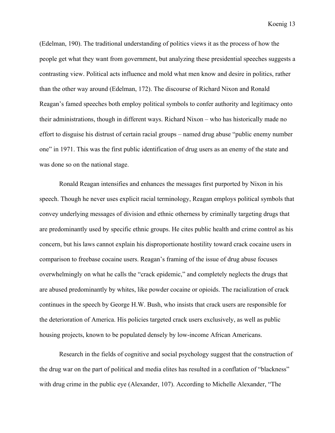(Edelman, 190). The traditional understanding of politics views it as the process of how the people get what they want from government, but analyzing these presidential speeches suggests a contrasting view. Political acts influence and mold what men know and desire in politics, rather than the other way around (Edelman, 172). The discourse of Richard Nixon and Ronald Reagan's famed speeches both employ political symbols to confer authority and legitimacy onto their administrations, though in different ways. Richard Nixon – who has historically made no effort to disguise his distrust of certain racial groups – named drug abuse "public enemy number one" in 1971. This was the first public identification of drug users as an enemy of the state and was done so on the national stage.

Ronald Reagan intensifies and enhances the messages first purported by Nixon in his speech. Though he never uses explicit racial terminology, Reagan employs political symbols that convey underlying messages of division and ethnic otherness by criminally targeting drugs that are predominantly used by specific ethnic groups. He cites public health and crime control as his concern, but his laws cannot explain his disproportionate hostility toward crack cocaine users in comparison to freebase cocaine users. Reagan's framing of the issue of drug abuse focuses overwhelmingly on what he calls the "crack epidemic," and completely neglects the drugs that are abused predominantly by whites, like powder cocaine or opioids. The racialization of crack continues in the speech by George H.W. Bush, who insists that crack users are responsible for the deterioration of America. His policies targeted crack users exclusively, as well as public housing projects, known to be populated densely by low-income African Americans.

Research in the fields of cognitive and social psychology suggest that the construction of the drug war on the part of political and media elites has resulted in a conflation of "blackness" with drug crime in the public eye (Alexander, 107). According to Michelle Alexander, "The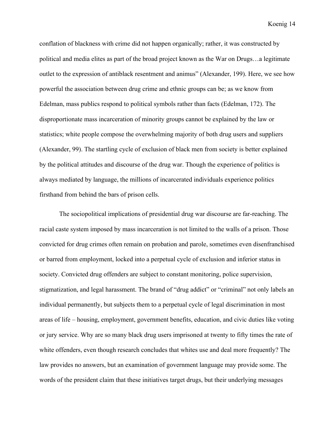conflation of blackness with crime did not happen organically; rather, it was constructed by political and media elites as part of the broad project known as the War on Drugs…a legitimate outlet to the expression of antiblack resentment and animus" (Alexander, 199). Here, we see how powerful the association between drug crime and ethnic groups can be; as we know from Edelman, mass publics respond to political symbols rather than facts (Edelman, 172). The disproportionate mass incarceration of minority groups cannot be explained by the law or statistics; white people compose the overwhelming majority of both drug users and suppliers (Alexander, 99). The startling cycle of exclusion of black men from society is better explained by the political attitudes and discourse of the drug war. Though the experience of politics is always mediated by language, the millions of incarcerated individuals experience politics firsthand from behind the bars of prison cells.

The sociopolitical implications of presidential drug war discourse are far-reaching. The racial caste system imposed by mass incarceration is not limited to the walls of a prison. Those convicted for drug crimes often remain on probation and parole, sometimes even disenfranchised or barred from employment, locked into a perpetual cycle of exclusion and inferior status in society. Convicted drug offenders are subject to constant monitoring, police supervision, stigmatization, and legal harassment. The brand of "drug addict" or "criminal" not only labels an individual permanently, but subjects them to a perpetual cycle of legal discrimination in most areas of life – housing, employment, government benefits, education, and civic duties like voting or jury service. Why are so many black drug users imprisoned at twenty to fifty times the rate of white offenders, even though research concludes that whites use and deal more frequently? The law provides no answers, but an examination of government language may provide some. The words of the president claim that these initiatives target drugs, but their underlying messages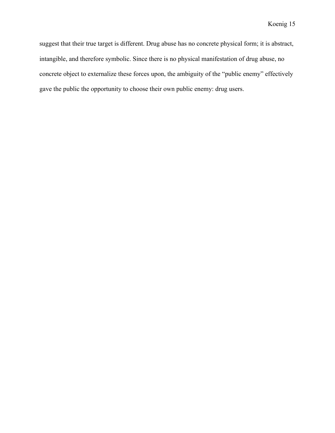suggest that their true target is different. Drug abuse has no concrete physical form; it is abstract, intangible, and therefore symbolic. Since there is no physical manifestation of drug abuse, no concrete object to externalize these forces upon, the ambiguity of the "public enemy" effectively gave the public the opportunity to choose their own public enemy: drug users.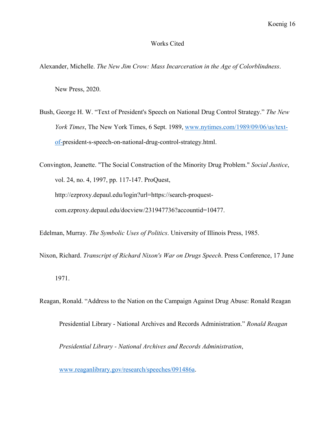## Works Cited

Alexander, Michelle. *The New Jim Crow: Mass Incarceration in the Age of Colorblindness*.

New Press, 2020.

Bush, George H. W. "Text of President's Speech on National Drug Control Strategy." *The New York Times*, The New York Times, 6 Sept. 1989, www.nytimes.com/1989/09/06/us/textof-president-s-speech-on-national-drug-control-strategy.html.

Convington, Jeanette. "The Social Construction of the Minority Drug Problem." *Social Justice*, vol. 24, no. 4, 1997, pp. 117-147. ProQuest, http://ezproxy.depaul.edu/login?url=https://search-proquestcom.ezproxy.depaul.edu/docview/231947736?accountid=10477.

Edelman, Murray. *The Symbolic Uses of Politics*. University of Illinois Press, 1985.

Nixon, Richard. *Transcript of Richard Nixon's War on Drugs Speech*. Press Conference, 17 June

1971.

Reagan, Ronald. "Address to the Nation on the Campaign Against Drug Abuse: Ronald Reagan

Presidential Library - National Archives and Records Administration." *Ronald Reagan* 

*Presidential Library - National Archives and Records Administration*,

www.reaganlibrary.gov/research/speeches/091486a.